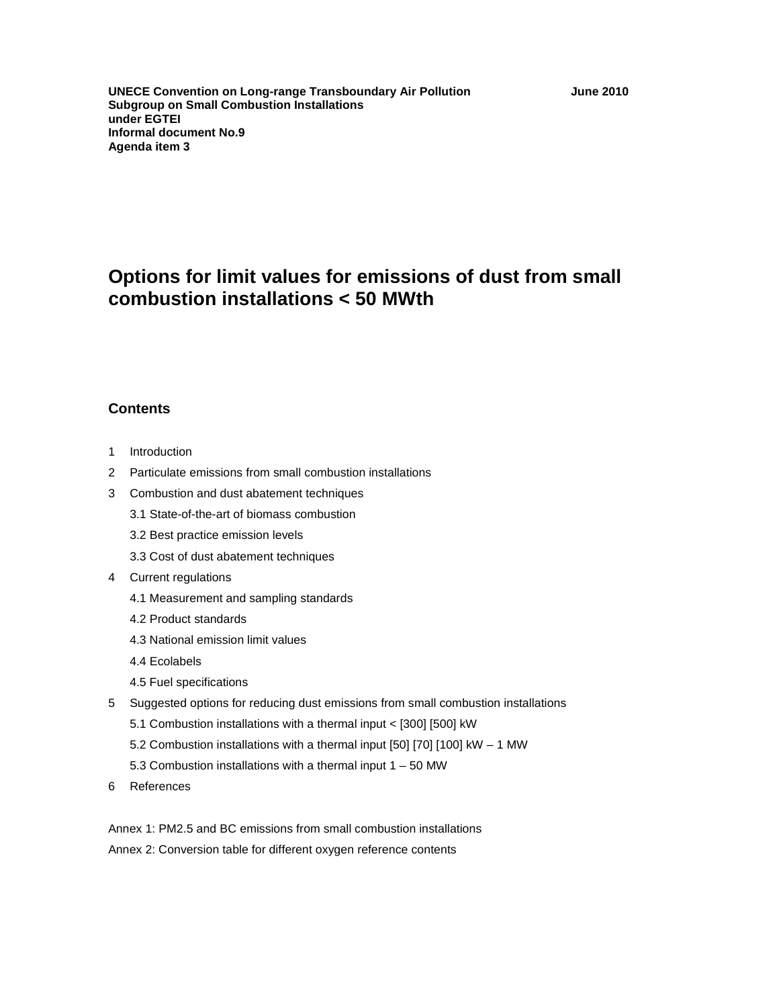**UNECE Convention on Long-range Transboundary Air Pollution June 2010 Subgroup on Small Combustion Installations under EGTEI Informal document No.9 Agenda item 3** 

# **Options for limit values for emissions of dust from small combustion installations < 50 MWth**

# **Contents**

- 1 Introduction
- 2 Particulate emissions from small combustion installations
- 3 Combustion and dust abatement techniques
	- 3.1 State-of-the-art of biomass combustion
	- 3.2 Best practice emission levels
	- 3.3 Cost of dust abatement techniques

#### 4 Current regulations

- 4.1 Measurement and sampling standards
- 4.2 Product standards
- 4.3 National emission limit values
- 4.4 Ecolabels
- 4.5 Fuel specifications
- 5 Suggested options for reducing dust emissions from small combustion installations
	- 5.1 Combustion installations with a thermal input < [300] [500] kW
	- 5.2 Combustion installations with a thermal input [50] [70] [100] kW 1 MW
	- 5.3 Combustion installations with a thermal input 1 50 MW
- 6 References

Annex 1: PM2.5 and BC emissions from small combustion installations Annex 2: Conversion table for different oxygen reference contents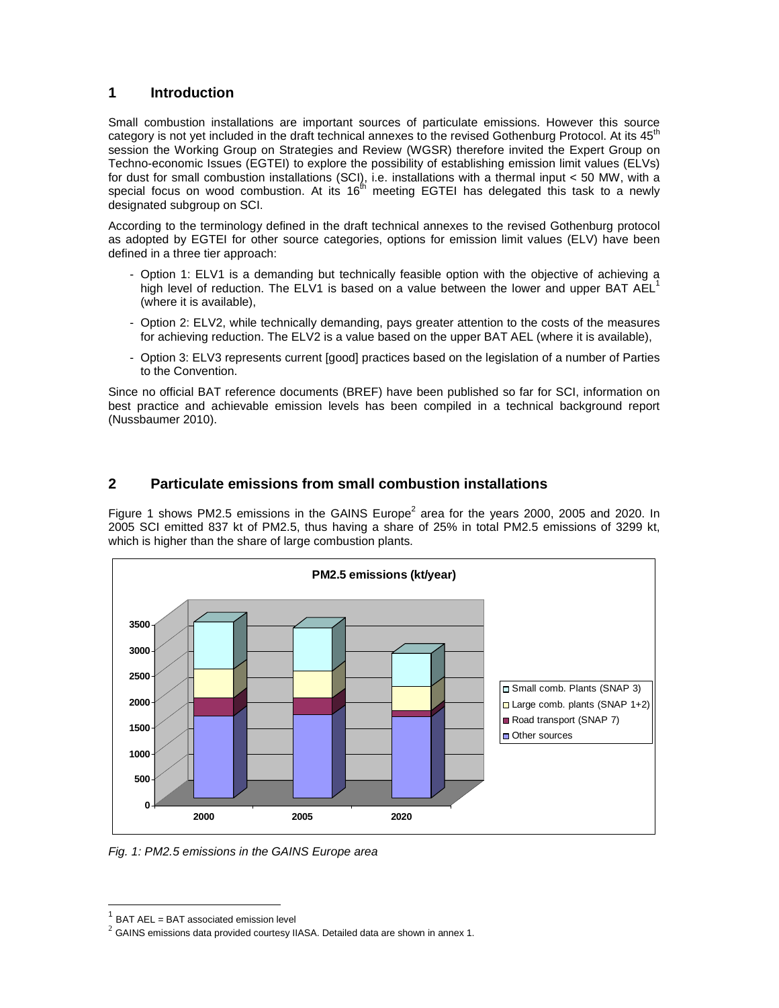# **1 Introduction**

Small combustion installations are important sources of particulate emissions. However this source category is not yet included in the draft technical annexes to the revised Gothenburg Protocol. At its 45<sup>th</sup> session the Working Group on Strategies and Review (WGSR) therefore invited the Expert Group on Techno-economic Issues (EGTEI) to explore the possibility of establishing emission limit values (ELVs) for dust for small combustion installations (SCI), i.e. installations with a thermal input < 50 MW, with a special focus on wood combustion. At its  $16<sup>th</sup>$  meeting EGTEI has delegated this task to a newly designated subgroup on SCI.

According to the terminology defined in the draft technical annexes to the revised Gothenburg protocol as adopted by EGTEI for other source categories, options for emission limit values (ELV) have been defined in a three tier approach:

- Option 1: ELV1 is a demanding but technically feasible option with the objective of achieving a high level of reduction. The ELV1 is based on a value between the lower and upper BAT  $A\text{EL}^1$ (where it is available),
- Option 2: ELV2, while technically demanding, pays greater attention to the costs of the measures for achieving reduction. The ELV2 is a value based on the upper BAT AEL (where it is available),
- Option 3: ELV3 represents current [good] practices based on the legislation of a number of Parties to the Convention.

Since no official BAT reference documents (BREF) have been published so far for SCI, information on best practice and achievable emission levels has been compiled in a technical background report (Nussbaumer 2010).

# **2 Particulate emissions from small combustion installations**

Figure 1 shows PM2.5 emissions in the GAINS Europe<sup>2</sup> area for the years 2000, 2005 and 2020. In 2005 SCI emitted 837 kt of PM2.5, thus having a share of 25% in total PM2.5 emissions of 3299 kt, which is higher than the share of large combustion plants.



Fig. 1: PM2.5 emissions in the GAINS Europe area

 $\overline{a}$ 

<sup>1</sup> BAT AEL = BAT associated emission level

<sup>2</sup> GAINS emissions data provided courtesy IIASA. Detailed data are shown in annex 1.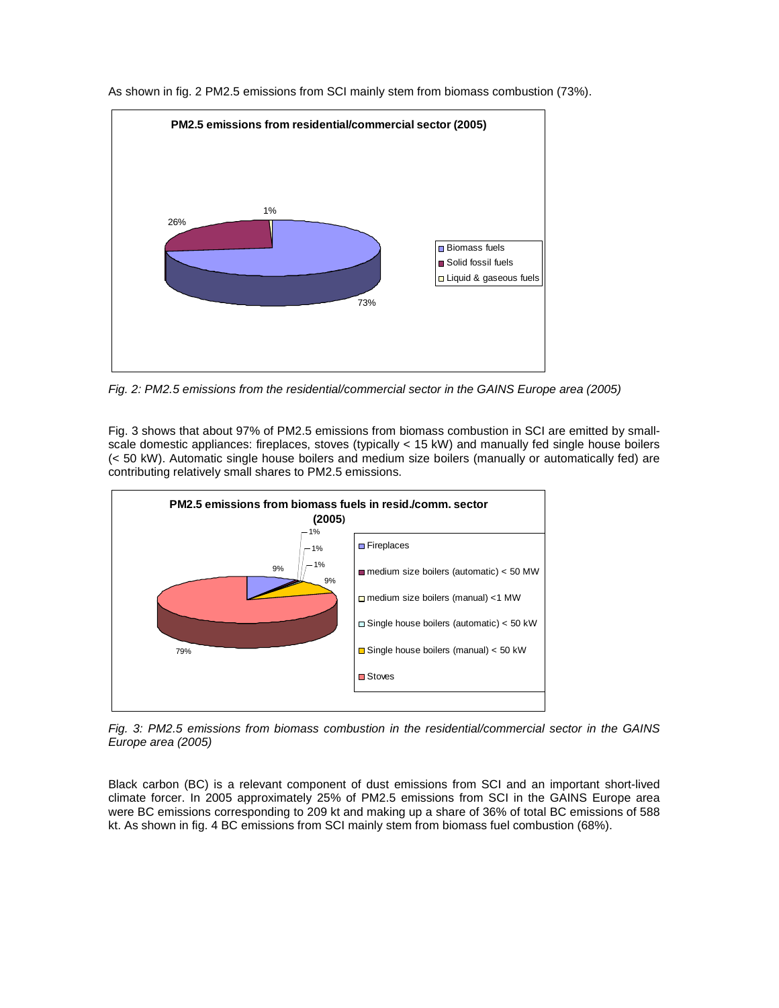

As shown in fig. 2 PM2.5 emissions from SCI mainly stem from biomass combustion (73%).

Fig. 2: PM2.5 emissions from the residential/commercial sector in the GAINS Europe area (2005)

Fig. 3 shows that about 97% of PM2.5 emissions from biomass combustion in SCI are emitted by smallscale domestic appliances: fireplaces, stoves (typically < 15 kW) and manually fed single house boilers (< 50 kW). Automatic single house boilers and medium size boilers (manually or automatically fed) are contributing relatively small shares to PM2.5 emissions.



Fig. 3: PM2.5 emissions from biomass combustion in the residential/commercial sector in the GAINS Europe area (2005)

Black carbon (BC) is a relevant component of dust emissions from SCI and an important short-lived climate forcer. In 2005 approximately 25% of PM2.5 emissions from SCI in the GAINS Europe area were BC emissions corresponding to 209 kt and making up a share of 36% of total BC emissions of 588 kt. As shown in fig. 4 BC emissions from SCI mainly stem from biomass fuel combustion (68%).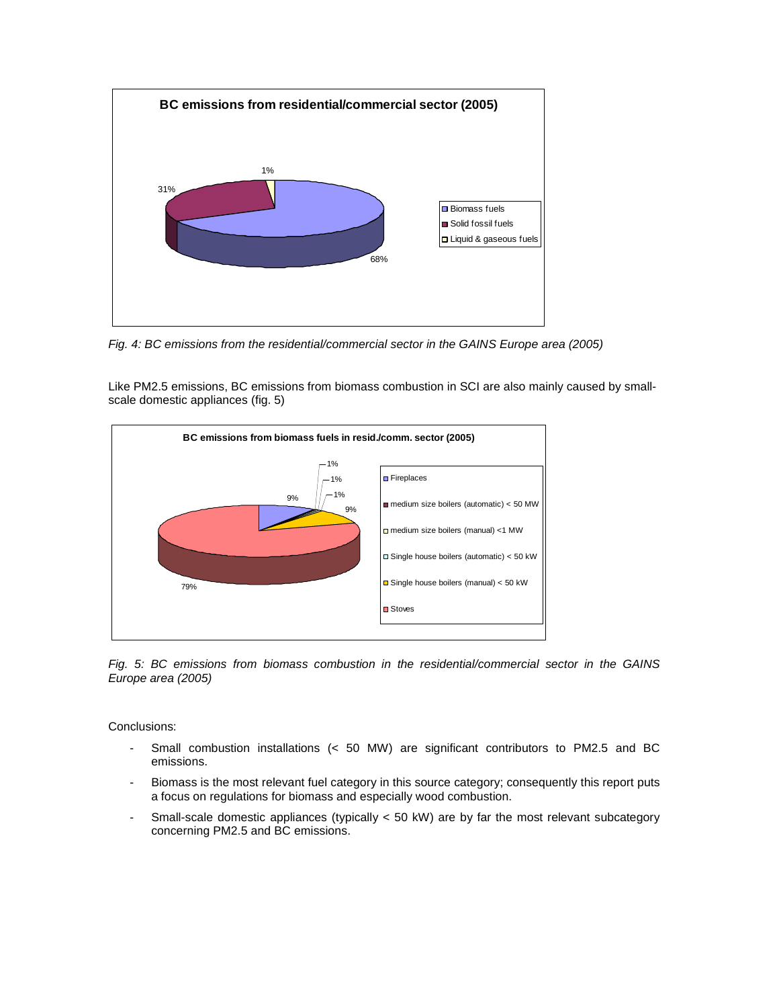

Fig. 4: BC emissions from the residential/commercial sector in the GAINS Europe area (2005)

Like PM2.5 emissions, BC emissions from biomass combustion in SCI are also mainly caused by smallscale domestic appliances (fig. 5)



Fig. 5: BC emissions from biomass combustion in the residential/commercial sector in the GAINS Europe area (2005)

Conclusions:

- Small combustion installations (< 50 MW) are significant contributors to PM2.5 and BC emissions.
- Biomass is the most relevant fuel category in this source category; consequently this report puts a focus on regulations for biomass and especially wood combustion.
- Small-scale domestic appliances (typically < 50 kW) are by far the most relevant subcategory concerning PM2.5 and BC emissions.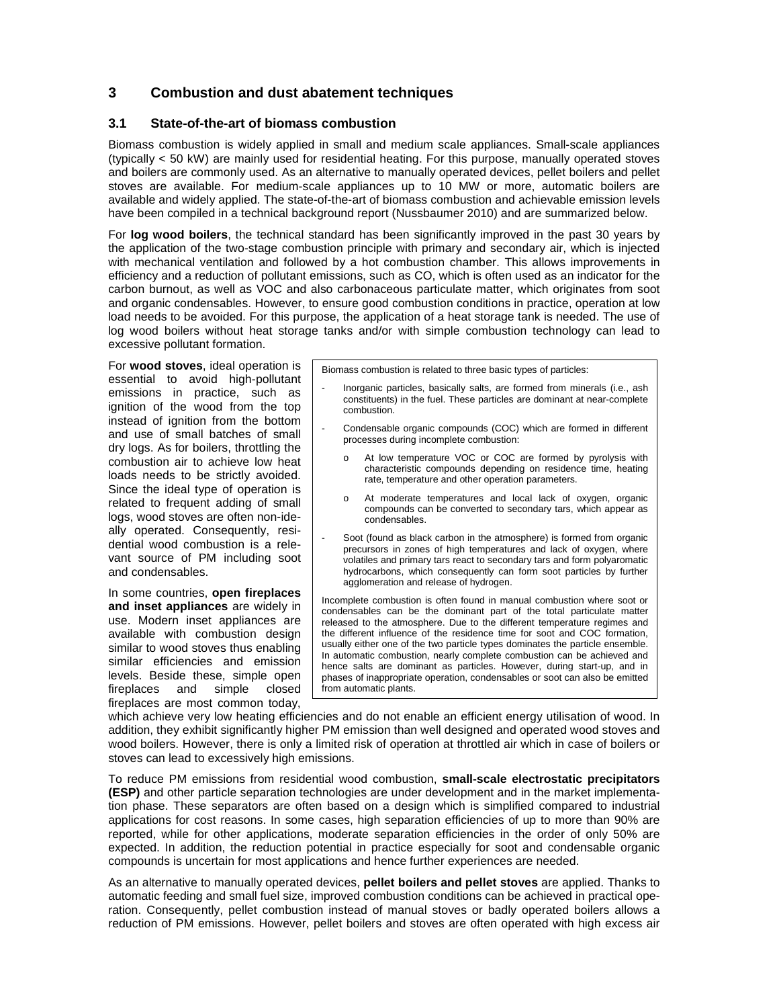# **3 Combustion and dust abatement techniques**

#### **3.1 State-of-the-art of biomass combustion**

Biomass combustion is widely applied in small and medium scale appliances. Small-scale appliances (typically < 50 kW) are mainly used for residential heating. For this purpose, manually operated stoves and boilers are commonly used. As an alternative to manually operated devices, pellet boilers and pellet stoves are available. For medium-scale appliances up to 10 MW or more, automatic boilers are available and widely applied. The state-of-the-art of biomass combustion and achievable emission levels have been compiled in a technical background report (Nussbaumer 2010) and are summarized below.

For **log wood boilers**, the technical standard has been significantly improved in the past 30 years by the application of the two-stage combustion principle with primary and secondary air, which is injected with mechanical ventilation and followed by a hot combustion chamber. This allows improvements in efficiency and a reduction of pollutant emissions, such as CO, which is often used as an indicator for the carbon burnout, as well as VOC and also carbonaceous particulate matter, which originates from soot and organic condensables. However, to ensure good combustion conditions in practice, operation at low load needs to be avoided. For this purpose, the application of a heat storage tank is needed. The use of log wood boilers without heat storage tanks and/or with simple combustion technology can lead to excessive pollutant formation.

For **wood stoves**, ideal operation is essential to avoid high-pollutant emissions in practice, such as ignition of the wood from the top instead of ignition from the bottom and use of small batches of small dry logs. As for boilers, throttling the combustion air to achieve low heat loads needs to be strictly avoided. Since the ideal type of operation is related to frequent adding of small logs, wood stoves are often non-ideally operated. Consequently, residential wood combustion is a relevant source of PM including soot and condensables.

In some countries, **open fireplaces and inset appliances** are widely in use. Modern inset appliances are available with combustion design similar to wood stoves thus enabling similar efficiencies and emission levels. Beside these, simple open fireplaces and simple closed fireplaces are most common today,

Biomass combustion is related to three basic types of particles:

- Inorganic particles, basically salts, are formed from minerals (i.e., ash constituents) in the fuel. These particles are dominant at near-complete combustion.
- Condensable organic compounds (COC) which are formed in different processes during incomplete combustion:
	- o At low temperature VOC or COC are formed by pyrolysis with characteristic compounds depending on residence time, heating rate, temperature and other operation parameters.
	- o At moderate temperatures and local lack of oxygen, organic compounds can be converted to secondary tars, which appear as condensables.
- Soot (found as black carbon in the atmosphere) is formed from organic precursors in zones of high temperatures and lack of oxygen, where volatiles and primary tars react to secondary tars and form polyaromatic hydrocarbons, which consequently can form soot particles by further agglomeration and release of hydrogen.

Incomplete combustion is often found in manual combustion where soot or condensables can be the dominant part of the total particulate matter released to the atmosphere. Due to the different temperature regimes and the different influence of the residence time for soot and COC formation, usually either one of the two particle types dominates the particle ensemble. In automatic combustion, nearly complete combustion can be achieved and hence salts are dominant as particles. However, during start-up, and in phases of inappropriate operation, condensables or soot can also be emitted from automatic plants.

which achieve very low heating efficiencies and do not enable an efficient energy utilisation of wood. In addition, they exhibit significantly higher PM emission than well designed and operated wood stoves and wood boilers. However, there is only a limited risk of operation at throttled air which in case of boilers or stoves can lead to excessively high emissions.

To reduce PM emissions from residential wood combustion, **small-scale electrostatic precipitators (ESP)** and other particle separation technologies are under development and in the market implementation phase. These separators are often based on a design which is simplified compared to industrial applications for cost reasons. In some cases, high separation efficiencies of up to more than 90% are reported, while for other applications, moderate separation efficiencies in the order of only 50% are expected. In addition, the reduction potential in practice especially for soot and condensable organic compounds is uncertain for most applications and hence further experiences are needed.

As an alternative to manually operated devices, **pellet boilers and pellet stoves** are applied. Thanks to automatic feeding and small fuel size, improved combustion conditions can be achieved in practical operation. Consequently, pellet combustion instead of manual stoves or badly operated boilers allows a reduction of PM emissions. However, pellet boilers and stoves are often operated with high excess air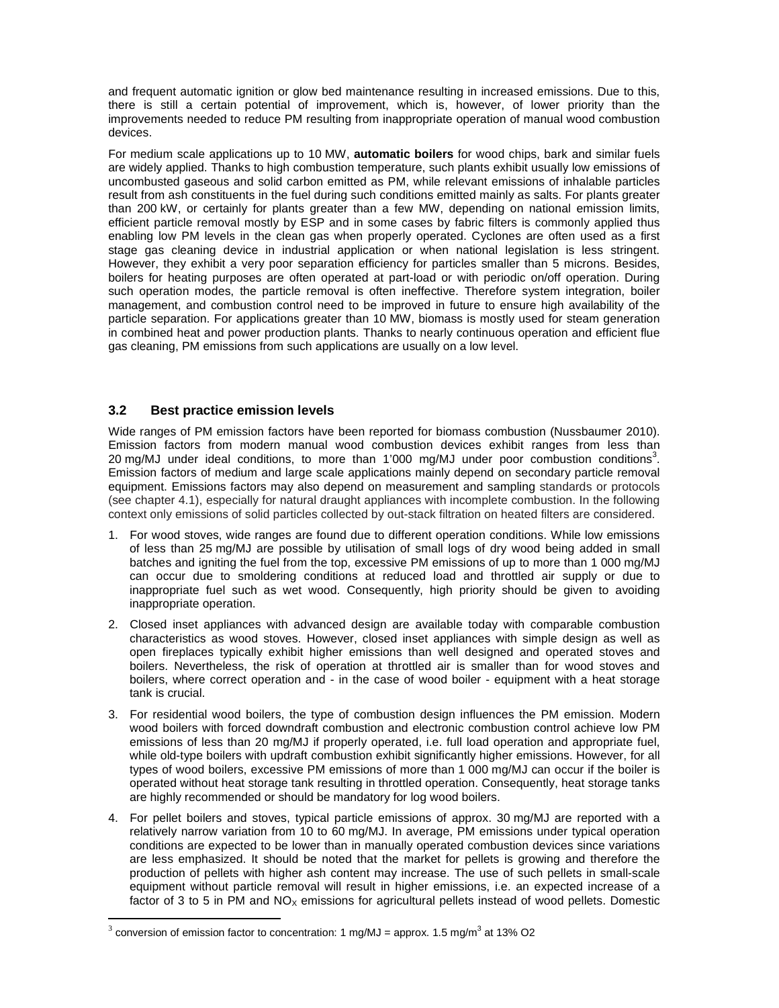and frequent automatic ignition or glow bed maintenance resulting in increased emissions. Due to this, there is still a certain potential of improvement, which is, however, of lower priority than the improvements needed to reduce PM resulting from inappropriate operation of manual wood combustion devices.

For medium scale applications up to 10 MW, **automatic boilers** for wood chips, bark and similar fuels are widely applied. Thanks to high combustion temperature, such plants exhibit usually low emissions of uncombusted gaseous and solid carbon emitted as PM, while relevant emissions of inhalable particles result from ash constituents in the fuel during such conditions emitted mainly as salts. For plants greater than 200 kW, or certainly for plants greater than a few MW, depending on national emission limits, efficient particle removal mostly by ESP and in some cases by fabric filters is commonly applied thus enabling low PM levels in the clean gas when properly operated. Cyclones are often used as a first stage gas cleaning device in industrial application or when national legislation is less stringent. However, they exhibit a very poor separation efficiency for particles smaller than 5 microns. Besides, boilers for heating purposes are often operated at part-load or with periodic on/off operation. During such operation modes, the particle removal is often ineffective. Therefore system integration, boiler management, and combustion control need to be improved in future to ensure high availability of the particle separation. For applications greater than 10 MW, biomass is mostly used for steam generation in combined heat and power production plants. Thanks to nearly continuous operation and efficient flue gas cleaning, PM emissions from such applications are usually on a low level.

#### **3.2 Best practice emission levels**

 $\overline{a}$ 

Wide ranges of PM emission factors have been reported for biomass combustion (Nussbaumer 2010). Emission factors from modern manual wood combustion devices exhibit ranges from less than 20 mg/MJ under ideal conditions, to more than 1'000 mg/MJ under poor combustion conditions<sup>3</sup>. Emission factors of medium and large scale applications mainly depend on secondary particle removal equipment. Emissions factors may also depend on measurement and sampling standards or protocols (see chapter 4.1), especially for natural draught appliances with incomplete combustion. In the following context only emissions of solid particles collected by out-stack filtration on heated filters are considered.

- 1. For wood stoves, wide ranges are found due to different operation conditions. While low emissions of less than 25 mg/MJ are possible by utilisation of small logs of dry wood being added in small batches and igniting the fuel from the top, excessive PM emissions of up to more than 1 000 mg/MJ can occur due to smoldering conditions at reduced load and throttled air supply or due to inappropriate fuel such as wet wood. Consequently, high priority should be given to avoiding inappropriate operation.
- 2. Closed inset appliances with advanced design are available today with comparable combustion characteristics as wood stoves. However, closed inset appliances with simple design as well as open fireplaces typically exhibit higher emissions than well designed and operated stoves and boilers. Nevertheless, the risk of operation at throttled air is smaller than for wood stoves and boilers, where correct operation and - in the case of wood boiler - equipment with a heat storage tank is crucial.
- 3. For residential wood boilers, the type of combustion design influences the PM emission. Modern wood boilers with forced downdraft combustion and electronic combustion control achieve low PM emissions of less than 20 mg/MJ if properly operated, i.e. full load operation and appropriate fuel, while old-type boilers with updraft combustion exhibit significantly higher emissions. However, for all types of wood boilers, excessive PM emissions of more than 1 000 mg/MJ can occur if the boiler is operated without heat storage tank resulting in throttled operation. Consequently, heat storage tanks are highly recommended or should be mandatory for log wood boilers.
- 4. For pellet boilers and stoves, typical particle emissions of approx. 30 mg/MJ are reported with a relatively narrow variation from 10 to 60 mg/MJ. In average, PM emissions under typical operation conditions are expected to be lower than in manually operated combustion devices since variations are less emphasized. It should be noted that the market for pellets is growing and therefore the production of pellets with higher ash content may increase. The use of such pellets in small-scale equipment without particle removal will result in higher emissions, i.e. an expected increase of a factor of 3 to 5 in PM and  $NO<sub>X</sub>$  emissions for agricultural pellets instead of wood pellets. Domestic

<sup>3</sup> conversion of emission factor to concentration: 1 mg/MJ = approx. 1.5 mg/m<sup>3</sup> at 13% O2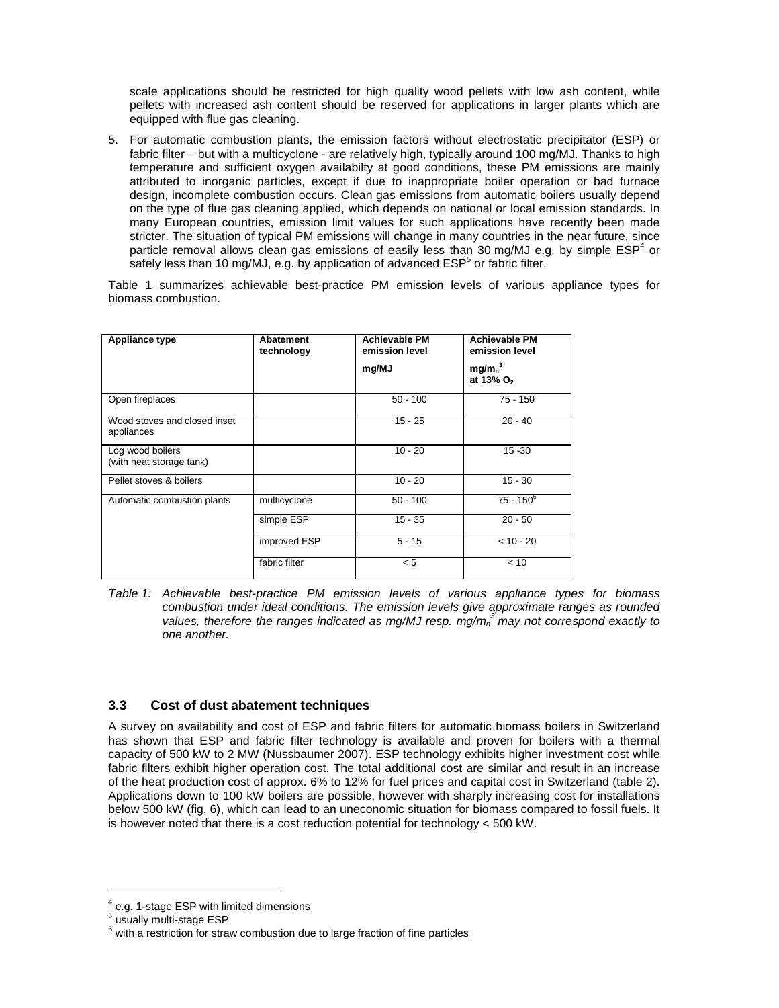scale applications should be restricted for high quality wood pellets with low ash content, while pellets with increased ash content should be reserved for applications in larger plants which are equipped with flue gas cleaning.

5. For automatic combustion plants, the emission factors without electrostatic precipitator (ESP) or fabric filter – but with a multicyclone - are relatively high, typically around 100 mg/MJ. Thanks to high temperature and sufficient oxygen availabilty at good conditions, these PM emissions are mainly attributed to inorganic particles, except if due to inappropriate boiler operation or bad furnace design, incomplete combustion occurs. Clean gas emissions from automatic boilers usually depend on the type of flue gas cleaning applied, which depends on national or local emission standards. In many European countries, emission limit values for such applications have recently been made stricter. The situation of typical PM emissions will change in many countries in the near future, since particle removal allows clean gas emissions of easily less than 30 mg/MJ e.g. by simple  $\textsf{ESP}^{4}$  or safely less than 10 mg/MJ, e.g. by application of advanced  $\mathsf{ESP}^5$  or fabric filter.

Table 1 summarizes achievable best-practice PM emission levels of various appliance types for biomass combustion.

| Appliance type                               | Abatement<br>technology | <b>Achievable PM</b><br>emission level<br>mg/MJ | <b>Achievable PM</b><br>emission level<br>mg/m <sub>n</sub> <sup>3</sup><br>at 13% O <sub>2</sub> |
|----------------------------------------------|-------------------------|-------------------------------------------------|---------------------------------------------------------------------------------------------------|
| Open fireplaces                              |                         | $50 - 100$                                      | $75 - 150$                                                                                        |
| Wood stoves and closed inset<br>appliances   |                         | $15 - 25$                                       | $20 - 40$                                                                                         |
| Log wood boilers<br>(with heat storage tank) |                         | $10 - 20$                                       | $15 - 30$                                                                                         |
| Pellet stoves & boilers                      |                         | $10 - 20$                                       | $15 - 30$                                                                                         |
| Automatic combustion plants                  | multicyclone            | $50 - 100$                                      | $75 - 150^6$                                                                                      |
|                                              | simple ESP              | $15 - 35$                                       | $20 - 50$                                                                                         |
|                                              | improved ESP            | $5 - 15$                                        | $< 10 - 20$                                                                                       |
|                                              | fabric filter           | < 5                                             | < 10                                                                                              |

Table 1: Achievable best-practice PM emission levels of various appliance types for biomass combustion under ideal conditions. The emission levels give approximate ranges as rounded values, therefore the ranges indicated as mg/MJ resp.  $mg/m<sub>n</sub><sup>3</sup>$  may not correspond exactly to one another.

#### **3.3 Cost of dust abatement techniques**

A survey on availability and cost of ESP and fabric filters for automatic biomass boilers in Switzerland has shown that ESP and fabric filter technology is available and proven for boilers with a thermal capacity of 500 kW to 2 MW (Nussbaumer 2007). ESP technology exhibits higher investment cost while fabric filters exhibit higher operation cost. The total additional cost are similar and result in an increase of the heat production cost of approx. 6% to 12% for fuel prices and capital cost in Switzerland (table 2). Applications down to 100 kW boilers are possible, however with sharply increasing cost for installations below 500 kW (fig. 6), which can lead to an uneconomic situation for biomass compared to fossil fuels. It is however noted that there is a cost reduction potential for technology < 500 kW.

 $\overline{a}$ 

 $4$  e.g. 1-stage ESP with limited dimensions

<sup>5</sup> usually multi-stage ESP

 $6$  with a restriction for straw combustion due to large fraction of fine particles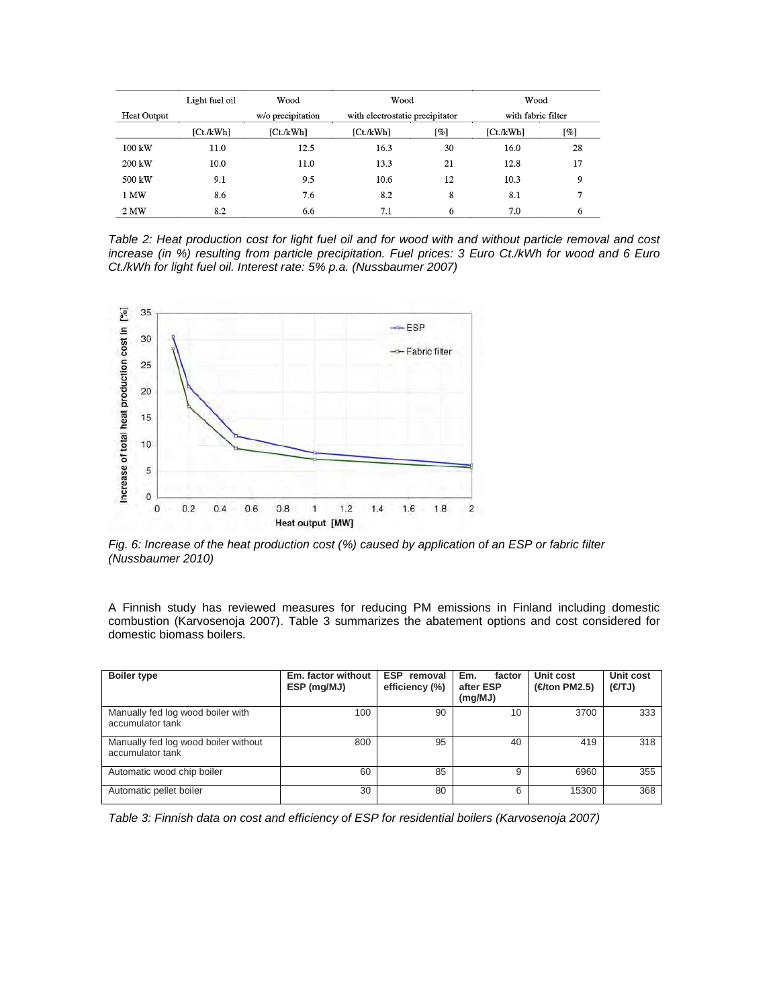|                    | Light fuel oil | Wood              | Wood                            |     | Wood               |        |
|--------------------|----------------|-------------------|---------------------------------|-----|--------------------|--------|
| <b>Heat Output</b> |                | w/o precipitation | with electrostatic precipitator |     | with fabric filter |        |
|                    | [Ct./kWh]      | [Ct. /kWh]        | [Ct/kWh]                        | [%] | [Ct./kWh]          | $[\%]$ |
| $100 \text{ kW}$   | 11.0           | 12.5              | 16.3                            | 30  | 16.0               | 28     |
| $200 \text{ kW}$   | 10.0           | 11.0              | 13.3                            | 21  | 12.8               | 17     |
| 500 kW             | 9.1            | 9.5               | 10.6                            | 12  | 10.3               | 9      |
| 1 MW               | 8.6            | 7.6               | 8.2                             | 8   | 8.1                | 7      |
| 2 MW               | 8.2            | 6.6               | 7.1                             | 6   | 7.0                | 6      |

Table 2: Heat production cost for light fuel oil and for wood with and without particle removal and cost increase (in %) resulting from particle precipitation. Fuel prices: 3 Euro Ct./kWh for wood and 6 Euro Ct./kWh for light fuel oil. Interest rate: 5% p.a. (Nussbaumer 2007)



Fig. 6: Increase of the heat production cost (%) caused by application of an ESP or fabric filter (Nussbaumer 2010)

A Finnish study has reviewed measures for reducing PM emissions in Finland including domestic combustion (Karvosenoja 2007). Table 3 summarizes the abatement options and cost considered for domestic biomass boilers.

| <b>Boiler type</b>                                       | Em. factor without<br>ESP (mg/MJ) | ESP removal<br>efficiency (%) | Em.<br>factor<br>after ESP<br>(mg/MJ) | Unit cost<br>(€/ton PM2.5) | Unit cost<br>(F/TJ) |
|----------------------------------------------------------|-----------------------------------|-------------------------------|---------------------------------------|----------------------------|---------------------|
| Manually fed log wood boiler with<br>accumulator tank    | 100                               | 90                            | 10                                    | 3700                       | 333                 |
| Manually fed log wood boiler without<br>accumulator tank | 800                               | 95                            | 40                                    | 419                        | 318                 |
| Automatic wood chip boiler                               | 60                                | 85                            | 9                                     | 6960                       | 355                 |
| Automatic pellet boiler                                  | 30                                | 80                            | 6                                     | 15300                      | 368                 |

Table 3: Finnish data on cost and efficiency of ESP for residential boilers (Karvosenoja 2007)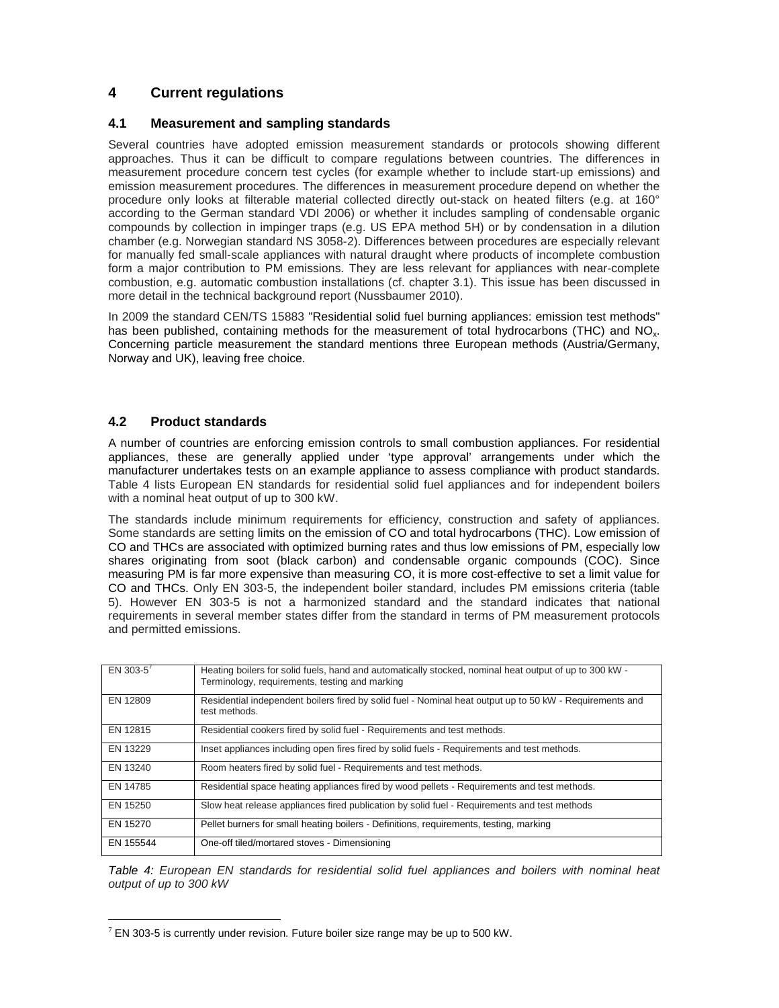# **4 Current regulations**

### **4.1 Measurement and sampling standards**

Several countries have adopted emission measurement standards or protocols showing different approaches. Thus it can be difficult to compare regulations between countries. The differences in measurement procedure concern test cycles (for example whether to include start-up emissions) and emission measurement procedures. The differences in measurement procedure depend on whether the procedure only looks at filterable material collected directly out-stack on heated filters (e.g. at 160° according to the German standard VDI 2006) or whether it includes sampling of condensable organic compounds by collection in impinger traps (e.g. US EPA method 5H) or by condensation in a dilution chamber (e.g. Norwegian standard NS 3058-2). Differences between procedures are especially relevant for manually fed small-scale appliances with natural draught where products of incomplete combustion form a major contribution to PM emissions. They are less relevant for appliances with near-complete combustion, e.g. automatic combustion installations (cf. chapter 3.1). This issue has been discussed in more detail in the technical background report (Nussbaumer 2010).

In 2009 the standard CEN/TS 15883 "Residential solid fuel burning appliances: emission test methods" has been published, containing methods for the measurement of total hydrocarbons (THC) and NO<sub>x</sub>. Concerning particle measurement the standard mentions three European methods (Austria/Germany, Norway and UK), leaving free choice.

#### **4.2 Product standards**

A number of countries are enforcing emission controls to small combustion appliances. For residential appliances, these are generally applied under 'type approval' arrangements under which the manufacturer undertakes tests on an example appliance to assess compliance with product standards. Table 4 lists European EN standards for residential solid fuel appliances and for independent boilers with a nominal heat output of up to 300 kW.

The standards include minimum requirements for efficiency, construction and safety of appliances. Some standards are setting limits on the emission of CO and total hydrocarbons (THC). Low emission of CO and THCs are associated with optimized burning rates and thus low emissions of PM, especially low shares originating from soot (black carbon) and condensable organic compounds (COC). Since measuring PM is far more expensive than measuring CO, it is more cost-effective to set a limit value for CO and THCs. Only EN 303-5, the independent boiler standard, includes PM emissions criteria (table 5). However EN 303-5 is not a harmonized standard and the standard indicates that national requirements in several member states differ from the standard in terms of PM measurement protocols and permitted emissions.

| EN 303-5 <sup>7</sup> | Heating boilers for solid fuels, hand and automatically stocked, nominal heat output of up to 300 kW -<br>Terminology, requirements, testing and marking |
|-----------------------|----------------------------------------------------------------------------------------------------------------------------------------------------------|
| EN 12809              | Residential independent boilers fired by solid fuel - Nominal heat output up to 50 kW - Requirements and<br>test methods.                                |
| EN 12815              | Residential cookers fired by solid fuel - Requirements and test methods.                                                                                 |
| EN 13229              | Inset appliances including open fires fired by solid fuels - Requirements and test methods.                                                              |
| EN 13240              | Room heaters fired by solid fuel - Requirements and test methods.                                                                                        |
| EN 14785              | Residential space heating appliances fired by wood pellets - Requirements and test methods.                                                              |
| EN 15250              | Slow heat release appliances fired publication by solid fuel - Requirements and test methods                                                             |
| EN 15270              | Pellet burners for small heating boilers - Definitions, requirements, testing, marking                                                                   |
| EN 155544             | One-off tiled/mortared stoves - Dimensioning                                                                                                             |

Table 4: European EN standards for residential solid fuel appliances and boilers with nominal heat output of up to 300 kW

 $\overline{a}$  $7$  EN 303-5 is currently under revision. Future boiler size range may be up to 500 kW.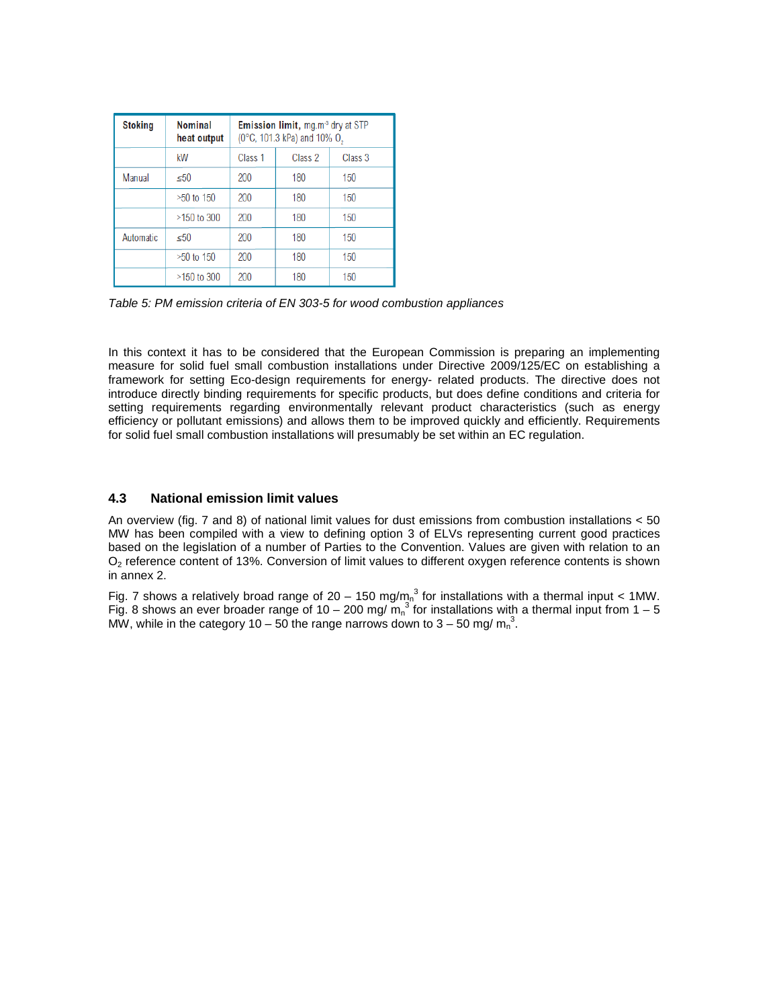| <b>Stoking</b> | <b>Nominal</b><br>heat output |                    | <b>Emission limit, mg.m<sup>3</sup> dry at STP</b><br>(0°C, 101.3 kPa) and 10% O <sub>2</sub> |                    |
|----------------|-------------------------------|--------------------|-----------------------------------------------------------------------------------------------|--------------------|
|                | kW                            | Class <sub>1</sub> | Class 2                                                                                       | Class <sub>3</sub> |
| Manual         | < 50                          | 200                | 180                                                                                           | 150                |
|                | $>50$ to 150                  | 200                | 180                                                                                           | 150                |
|                | $>150$ to 300                 | 200                | 180                                                                                           | 150                |
| Automatic      | < 50                          | 200                | 180                                                                                           | 150                |
|                | $>50$ to 150                  | 200                | 180                                                                                           | 150                |
|                | $>150$ to 300                 | 200                | 180                                                                                           | 150                |

Table 5: PM emission criteria of EN 303-5 for wood combustion appliances

In this context it has to be considered that the European Commission is preparing an implementing measure for solid fuel small combustion installations under Directive 2009/125/EC on establishing a framework for setting Eco-design requirements for energy- related products. The directive does not introduce directly binding requirements for specific products, but does define conditions and criteria for setting requirements regarding environmentally relevant product characteristics (such as energy efficiency or pollutant emissions) and allows them to be improved quickly and efficiently. Requirements for solid fuel small combustion installations will presumably be set within an EC regulation.

#### **4.3 National emission limit values**

An overview (fig. 7 and 8) of national limit values for dust emissions from combustion installations < 50 MW has been compiled with a view to defining option 3 of ELVs representing current good practices based on the legislation of a number of Parties to the Convention. Values are given with relation to an  $O<sub>2</sub>$  reference content of 13%. Conversion of limit values to different oxygen reference contents is shown in annex 2.

Fig. 7 shows a relatively broad range of 20 – 150 mg/m<sub>n</sub><sup>3</sup> for installations with a thermal input < 1MW. Fig. 8 shows an ever broader range of 10 – 200 mg/  $m_n^3$  for installations with a thermal input from 1 – 5 MW, while in the category 10 – 50 the range narrows down to 3 – 50 mg/  $m_n^3$ .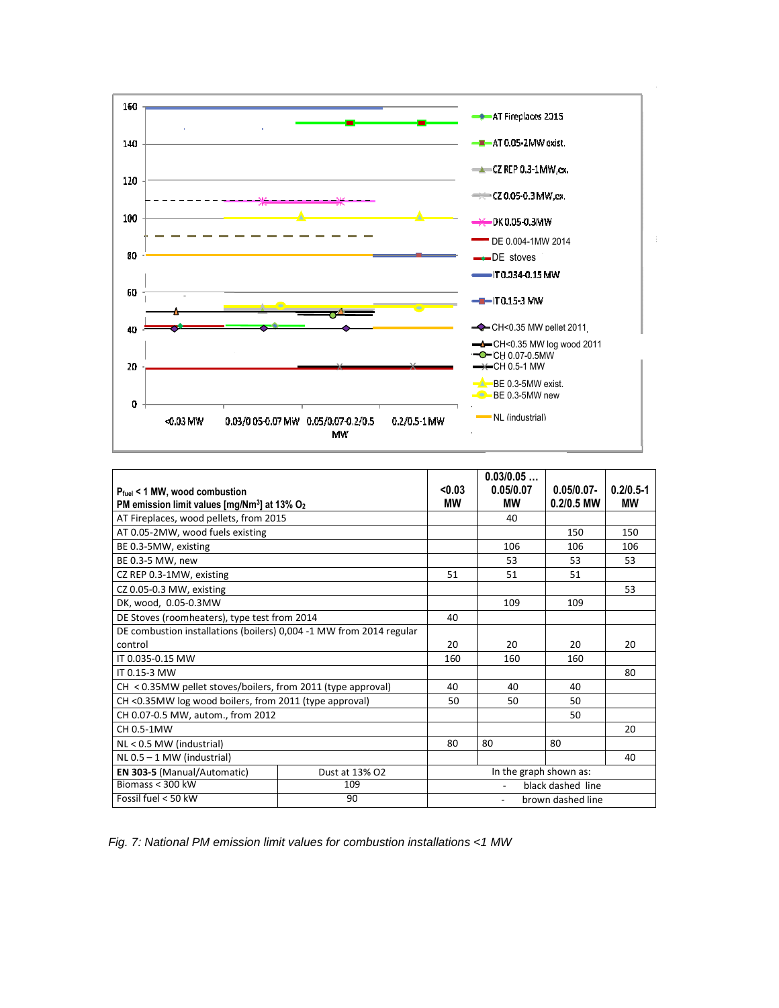

|                                                                      |                | < 0.03                 | 0.03/0.05         |               |               |
|----------------------------------------------------------------------|----------------|------------------------|-------------------|---------------|---------------|
| $P_{fuel}$ < 1 MW, wood combustion                                   |                |                        | 0.05/0.07         | $0.05/0.07 -$ | $0.2/0.5 - 1$ |
| PM emission limit values [mg/Nm <sup>3</sup> ] at 13% O <sub>2</sub> |                | МW                     | МW                | $0.2/0.5$ MW  | МW            |
| AT Fireplaces, wood pellets, from 2015                               |                |                        | 40                |               |               |
| AT 0.05-2MW, wood fuels existing                                     |                |                        |                   | 150           | 150           |
| BE 0.3-5MW, existing                                                 |                |                        | 106               | 106           | 106           |
| BE 0.3-5 MW, new                                                     |                |                        | 53                | 53            | 53            |
| CZ REP 0.3-1MW, existing                                             |                | 51                     | 51                | 51            |               |
| CZ 0.05-0.3 MW, existing                                             |                |                        |                   |               | 53            |
| DK, wood, 0.05-0.3MW                                                 |                |                        | 109               | 109           |               |
| DE Stoves (roomheaters), type test from 2014                         |                |                        |                   |               |               |
| DE combustion installations (boilers) 0,004 -1 MW from 2014 regular  |                |                        |                   |               |               |
| control                                                              |                |                        | 20                | 20            | 20            |
| IT 0.035-0.15 MW                                                     |                |                        | 160               | 160           |               |
| IT 0.15-3 MW                                                         |                |                        |                   |               | 80            |
| $CH < 0.35MW$ pellet stoves/boilers, from 2011 (type approval)       |                | 40                     | 40                | 40            |               |
| CH <0.35MW log wood boilers, from 2011 (type approval)               |                | 50                     | 50                | 50            |               |
| CH 0.07-0.5 MW, autom., from 2012                                    |                |                        |                   | 50            |               |
| CH 0.5-1MW                                                           |                |                        |                   |               | 20            |
| $NL < 0.5$ MW (industrial)                                           |                |                        | 80                | 80            |               |
| $NL 0.5 - 1 MW$ (industrial)                                         |                |                        |                   |               | 40            |
| EN 303-5 (Manual/Automatic)                                          | Dust at 13% O2 | In the graph shown as: |                   |               |               |
| Biomass $<$ 300 kW                                                   | 109            | black dashed line      |                   |               |               |
| Fossil fuel < 50 kW                                                  | 90             |                        | brown dashed line |               |               |

Fig. 7: National PM emission limit values for combustion installations <1 MW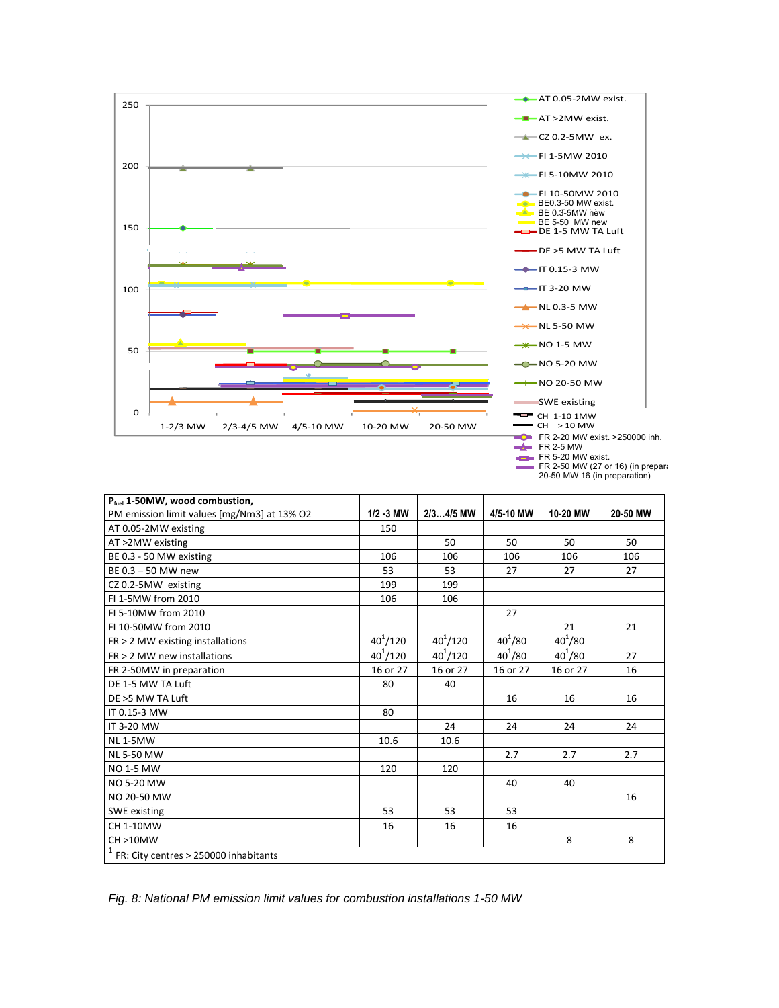

| P <sub>fuel</sub> 1-50MW, wood combustion,              |              |              |             |             |          |
|---------------------------------------------------------|--------------|--------------|-------------|-------------|----------|
| PM emission limit values [mg/Nm3] at 13% O2             | $1/2 - 3$ MW | $2/34/5$ MW  | 4/5-10 MW   | 10-20 MW    | 20-50 MW |
| AT 0.05-2MW existing                                    | 150          |              |             |             |          |
| AT >2MW existing                                        |              | 50           | 50          | 50          | 50       |
| BE 0.3 - 50 MW existing                                 | 106          | 106          | 106         | 106         | 106      |
| BE 0.3 - 50 MW new                                      | 53           | 53           | 27          | 27          | 27       |
| CZ 0.2-5MW existing                                     | 199          | 199          |             |             |          |
| FI 1-5MW from 2010                                      | 106          | 106          |             |             |          |
| FI 5-10MW from 2010                                     |              |              | 27          |             |          |
| FI 10-50MW from 2010                                    |              |              |             | 21          | 21       |
| $FR > 2$ MW existing installations                      | $40^{1}/120$ | $40^{1}/120$ | $40^{1}/80$ | $40^{1}/80$ |          |
| $FR > 2$ MW new installations                           | $40^{1}/120$ | $40^{1}/120$ | $40^{1}/80$ | $40^{1}/80$ | 27       |
| FR 2-50MW in preparation                                | 16 or 27     | 16 or 27     | 16 or 27    | 16 or 27    | 16       |
| DE 1-5 MW TA Luft                                       | 80           | 40           |             |             |          |
| DE >5 MW TA Luft                                        |              |              | 16          | 16          | 16       |
| IT 0.15-3 MW                                            | 80           |              |             |             |          |
| IT 3-20 MW                                              |              | 24           | 24          | 24          | 24       |
| <b>NL1-5MW</b>                                          | 10.6         | 10.6         |             |             |          |
| <b>NL 5-50 MW</b>                                       |              |              | 2.7         | 2.7         | 2.7      |
| <b>NO 1-5 MW</b>                                        | 120          | 120          |             |             |          |
| <b>NO 5-20 MW</b>                                       |              |              | 40          | 40          |          |
| NO 20-50 MW                                             |              |              |             |             | 16       |
| <b>SWE</b> existing                                     | 53           | 53           | 53          |             |          |
| CH 1-10MW                                               | 16           | 16           | 16          |             |          |
| CH >10MW                                                |              |              |             | 8           | 8        |
| $\overline{1}$<br>FR: City centres > 250000 inhabitants |              |              |             |             |          |

20-50 MW 16 (in preparation)

Fig. 8: National PM emission limit values for combustion installations 1-50 MW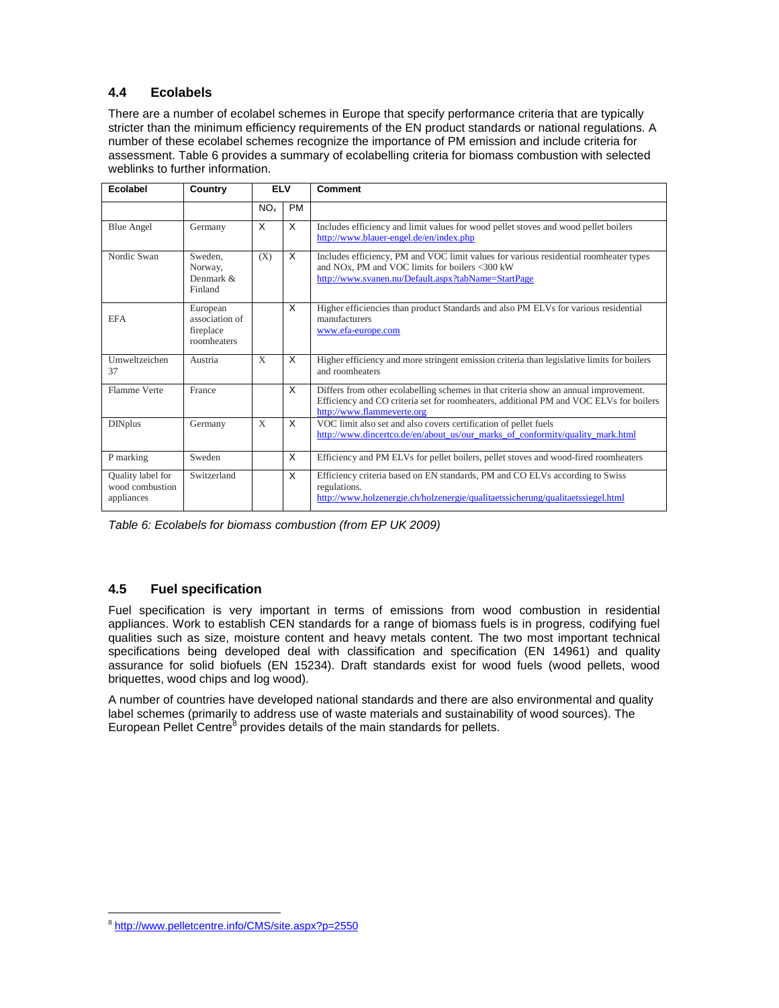# **4.4 Ecolabels**

There are a number of ecolabel schemes in Europe that specify performance criteria that are typically stricter than the minimum efficiency requirements of the EN product standards or national regulations. A number of these ecolabel schemes recognize the importance of PM emission and include criteria for assessment. Table 6 provides a summary of ecolabelling criteria for biomass combustion with selected weblinks to further information.

| Ecolabel                                           | Country                                                | ELV             |           | Comment                                                                                                                                                                                                      |
|----------------------------------------------------|--------------------------------------------------------|-----------------|-----------|--------------------------------------------------------------------------------------------------------------------------------------------------------------------------------------------------------------|
|                                                    |                                                        | NO <sub>x</sub> | <b>PM</b> |                                                                                                                                                                                                              |
| <b>Blue Angel</b>                                  | Germany                                                | X               | X         | Includes efficiency and limit values for wood pellet stoves and wood pellet boilers<br>http://www.blauer-engel.de/en/index.php                                                                               |
| Nordic Swan                                        | Sweden.<br>Norway,<br>Denmark &<br>Finland             | (X)             | X         | Includes efficiency, PM and VOC limit values for various residential roomheater types<br>and NOx, PM and VOC limits for boilers <300 kW<br>http://www.svanen.nu/Default.aspx?tabName=StartPage               |
| <b>EFA</b>                                         | European<br>association of<br>fireplace<br>roomheaters |                 | X         | Higher efficiencies than product Standards and also PM ELVs for various residential<br>manufacturers<br>www.efa-europe.com                                                                                   |
| Umweltzeichen<br>37                                | Austria                                                | X               | X         | Higher efficiency and more stringent emission criteria than legislative limits for boilers<br>and roomheaters                                                                                                |
| Flamme Verte                                       | France                                                 |                 | X         | Differs from other ecolabelling schemes in that criteria show an annual improvement.<br>Efficiency and CO criteria set for roomheaters, additional PM and VOC ELVs for boilers<br>http://www.flammeverte.org |
| <b>DINplus</b>                                     | Germany                                                | $\mathbf{X}$    | X         | VOC limit also set and also covers certification of pellet fuels<br>http://www.dincertco.de/en/about_us/our_marks_of_conformity/quality_mark.html                                                            |
| P marking                                          | Sweden                                                 |                 | X         | Efficiency and PM ELVs for pellet boilers, pellet stoves and wood-fired roomheaters                                                                                                                          |
| Quality label for<br>wood combustion<br>appliances | Switzerland                                            |                 | X         | Efficiency criteria based on EN standards, PM and CO ELVs according to Swiss<br>regulations.<br>http://www.holzenergie.ch/holzenergie/qualitaetssicherung/qualitaetssiegel.html                              |

Table 6: Ecolabels for biomass combustion (from EP UK 2009)

# **4.5 Fuel specification**

Fuel specification is very important in terms of emissions from wood combustion in residential appliances. Work to establish CEN standards for a range of biomass fuels is in progress, codifying fuel qualities such as size, moisture content and heavy metals content. The two most important technical specifications being developed deal with classification and specification (EN 14961) and quality assurance for solid biofuels (EN 15234). Draft standards exist for wood fuels (wood pellets, wood briquettes, wood chips and log wood).

A number of countries have developed national standards and there are also environmental and quality label schemes (primarily to address use of waste materials and sustainability of wood sources). The European Pellet Centre<sup>8</sup> provides details of the main standards for pellets.

 $\overline{a}$ 8 http://www.pelletcentre.info/CMS/site.aspx?p=2550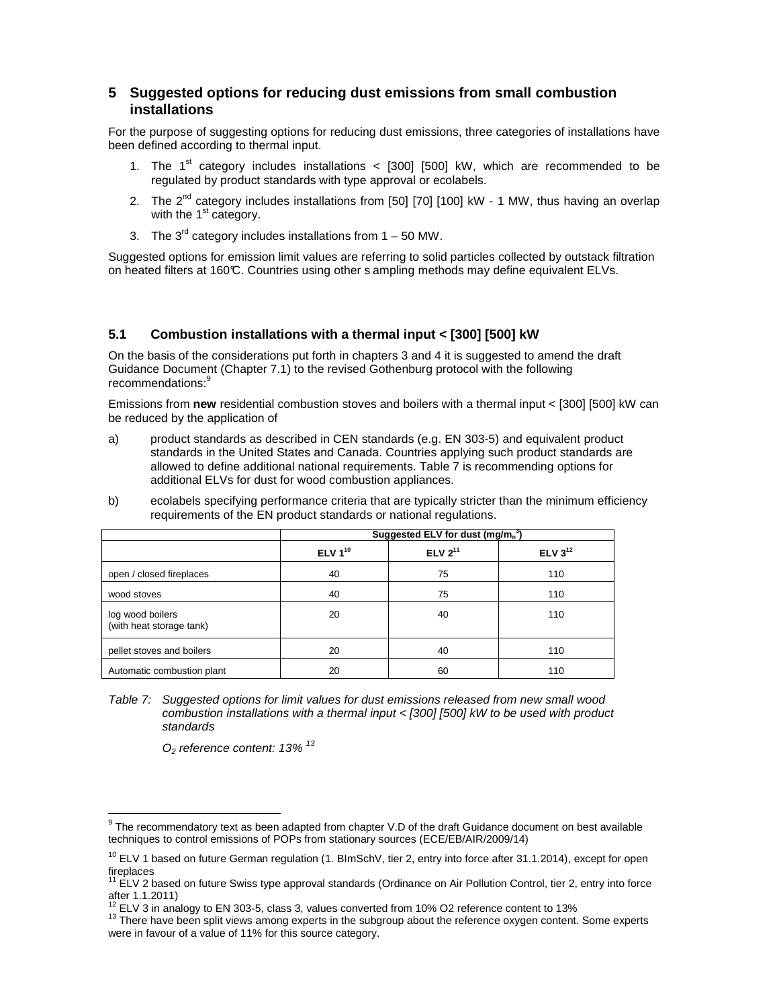# **5 Suggested options for reducing dust emissions from small combustion installations**

For the purpose of suggesting options for reducing dust emissions, three categories of installations have been defined according to thermal input.

- 1. The  $1<sup>st</sup>$  category includes installations < [300] [500] kW, which are recommended to be regulated by product standards with type approval or ecolabels.
- 2. The  $2<sup>nd</sup>$  category includes installations from [50] [70] [100] kW 1 MW, thus having an overlap with the  $1<sup>st</sup>$  category.
- 3. The  $3^{rd}$  category includes installations from  $1 50$  MW.

Suggested options for emission limit values are referring to solid particles collected by outstack filtration on heated filters at 160°C. Countries using other s ampling methods may define equivalent ELVs.

#### **5.1 Combustion installations with a thermal input < [300] [500] kW**

On the basis of the considerations put forth in chapters 3 and 4 it is suggested to amend the draft Guidance Document (Chapter 7.1) to the revised Gothenburg protocol with the following recommendations:<sup>9</sup>

Emissions from **new** residential combustion stoves and boilers with a thermal input < [300] [500] kW can be reduced by the application of

- a) product standards as described in CEN standards (e.g. EN 303-5) and equivalent product standards in the United States and Canada. Countries applying such product standards are allowed to define additional national requirements. Table 7 is recommending options for additional ELVs for dust for wood combustion appliances.
- b) ecolabels specifying performance criteria that are typically stricter than the minimum efficiency requirements of the EN product standards or national regulations.

|                                              |              | Suggested ELV for dust $(mg/mn3)$ |              |  |  |
|----------------------------------------------|--------------|-----------------------------------|--------------|--|--|
|                                              | ELV $1^{10}$ | ELV $2^{11}$                      | ELV $3^{12}$ |  |  |
| open / closed fireplaces                     | 40           | 75                                | 110          |  |  |
| wood stoves                                  | 40           | 75                                | 110          |  |  |
| log wood boilers<br>(with heat storage tank) | 20           | 40                                | 110          |  |  |
| pellet stoves and boilers                    | 20           | 40                                | 110          |  |  |
| Automatic combustion plant                   | 20           | 60                                | 110          |  |  |

Table 7: Suggested options for limit values for dust emissions released from new small wood combustion installations with a thermal input < [300] [500] kW to be used with product standards

 $O<sub>2</sub>$  reference content: 13%  $^{13}$ 

 9 The recommendatory text as been adapted from chapter V.D of the draft Guidance document on best available techniques to control emissions of POPs from stationary sources (ECE/EB/AIR/2009/14)

<sup>&</sup>lt;sup>10</sup> ELV 1 based on future German regulation (1. BlmSchV, tier 2, entry into force after 31.1.2014), except for open fireplaces

<sup>11</sup> ELV 2 based on future Swiss type approval standards (Ordinance on Air Pollution Control, tier 2, entry into force after 1.1.2011)

<sup>12</sup> ELV 3 in analogy to EN 303-5, class 3, values converted from 10% O2 reference content to 13%

<sup>&</sup>lt;sup>13</sup> There have been split views among experts in the subgroup about the reference oxygen content. Some experts were in favour of a value of 11% for this source category.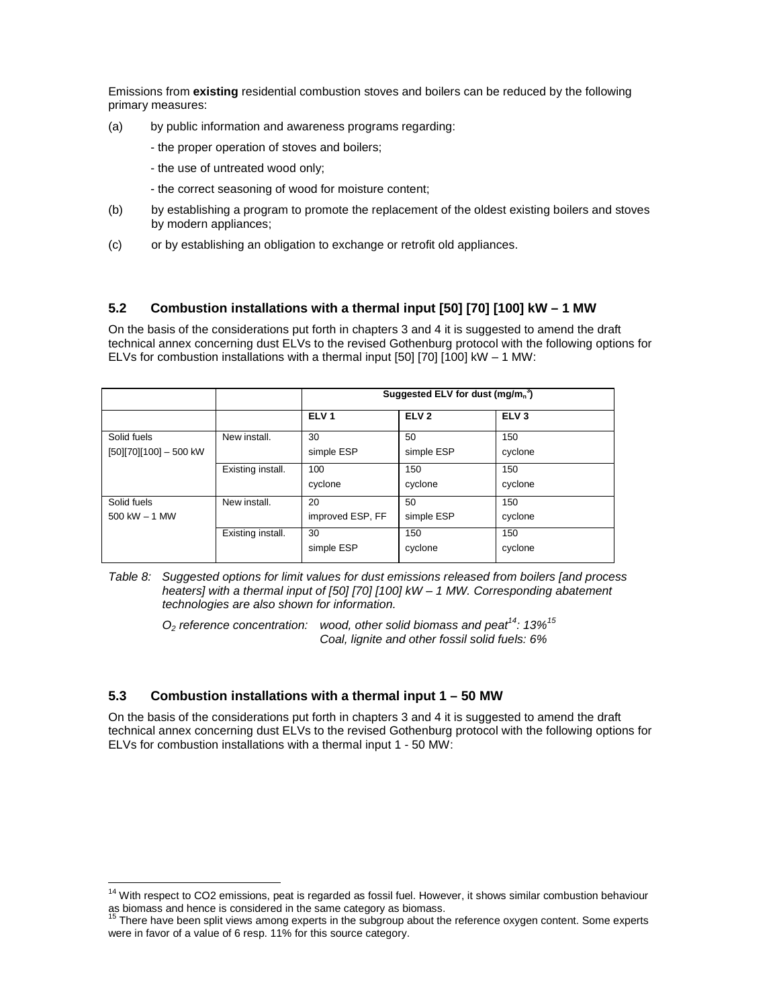Emissions from **existing** residential combustion stoves and boilers can be reduced by the following primary measures:

- (a) by public information and awareness programs regarding:
	- the proper operation of stoves and boilers;
	- the use of untreated wood only;
	- the correct seasoning of wood for moisture content;
- (b) by establishing a program to promote the replacement of the oldest existing boilers and stoves by modern appliances;
- (c) or by establishing an obligation to exchange or retrofit old appliances.

# **5.2 Combustion installations with a thermal input [50] [70] [100] kW – 1 MW**

On the basis of the considerations put forth in chapters 3 and 4 it is suggested to amend the draft technical annex concerning dust ELVs to the revised Gothenburg protocol with the following options for ELVs for combustion installations with a thermal input [50] [70] [100] kW – 1 MW:

|                                       |                   |                        | Suggested ELV for dust $(mg/mn3)$ |                  |
|---------------------------------------|-------------------|------------------------|-----------------------------------|------------------|
|                                       |                   | ELV <sub>1</sub>       | ELV <sub>2</sub>                  | ELV <sub>3</sub> |
| Solid fuels<br>[50][70][100] - 500 kW | New install.      | 30<br>simple ESP       | 50<br>simple ESP                  | 150<br>cyclone   |
|                                       | Existing install. | 100<br>cyclone         | 150<br>cyclone                    | 150<br>cyclone   |
| Solid fuels<br>$500$ kW $-$ 1 MW      | New install.      | 20<br>improved ESP, FF | 50<br>simple ESP                  | 150<br>cyclone   |
|                                       | Existing install. | 30<br>simple ESP       | 150<br>cyclone                    | 150<br>cyclone   |

Table 8: Suggested options for limit values for dust emissions released from boilers [and process heaters] with a thermal input of [50] [70] [100] kW – 1 MW. Corresponding abatement technologies are also shown for information.

 $O<sub>2</sub>$  reference concentration: wood, other solid biomass and peat<sup>14</sup>: 13%<sup>15</sup> Coal, lignite and other fossil solid fuels: 6%

# **5.3 Combustion installations with a thermal input 1 – 50 MW**

 $\overline{a}$ 

On the basis of the considerations put forth in chapters 3 and 4 it is suggested to amend the draft technical annex concerning dust ELVs to the revised Gothenburg protocol with the following options for ELVs for combustion installations with a thermal input 1 - 50 MW:

<sup>&</sup>lt;sup>14</sup> With respect to CO2 emissions, peat is regarded as fossil fuel. However, it shows similar combustion behaviour as biomass and hence is considered in the same category as biomass.

There have been split views among experts in the subgroup about the reference oxygen content. Some experts were in favor of a value of 6 resp. 11% for this source category.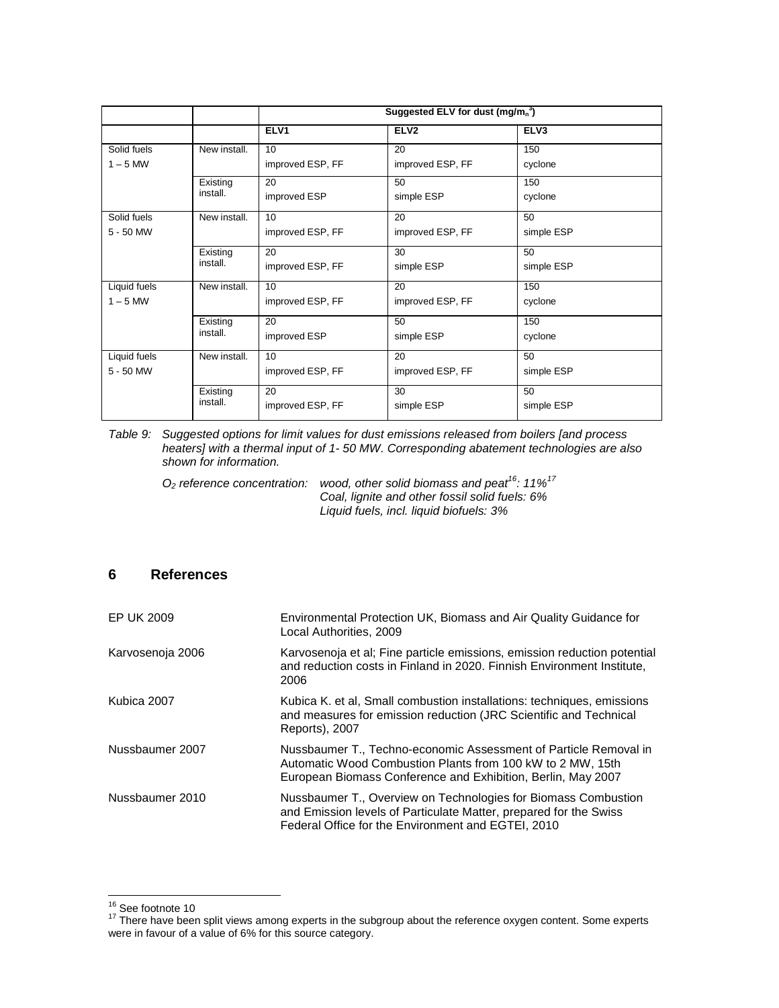|              |              | Suggested ELV for dust $(mg/mn3)$ |                  |                  |  |  |
|--------------|--------------|-----------------------------------|------------------|------------------|--|--|
|              |              | ELV <sub>1</sub>                  | ELV <sub>2</sub> | ELV <sub>3</sub> |  |  |
| Solid fuels  | New install. | 10                                | 20               | 150              |  |  |
| $1 - 5$ MW   |              | improved ESP, FF                  | improved ESP, FF | cyclone          |  |  |
|              | Existing     | 20                                | 50               | 150              |  |  |
|              | install.     | improved ESP                      | simple ESP       | cyclone          |  |  |
| Solid fuels  | New install. | 10 <sup>1</sup>                   | 20               | 50               |  |  |
| 5 - 50 MW    |              | improved ESP, FF                  | improved ESP, FF | simple ESP       |  |  |
|              | Existing     | 20                                | 30               | 50               |  |  |
|              | install.     | improved ESP, FF                  | simple ESP       | simple ESP       |  |  |
| Liquid fuels | New install. | 10                                | 20               | 150              |  |  |
| $1 - 5$ MW   |              | improved ESP, FF                  | improved ESP, FF | cyclone          |  |  |
|              | Existing     | 20                                | 50               | 150              |  |  |
|              | install.     | improved ESP                      | simple ESP       | cyclone          |  |  |
| Liquid fuels | New install. | 10                                | 20               | 50               |  |  |
| 5 - 50 MW    |              | improved ESP, FF                  | improved ESP, FF | simple ESP       |  |  |
|              | Existing     | 20                                | 30               | 50               |  |  |
|              | install.     | improved ESP, FF                  | simple ESP       | simple ESP       |  |  |

Table 9: Suggested options for limit values for dust emissions released from boilers [and process heaters] with a thermal input of 1- 50 MW. Corresponding abatement technologies are also shown for information.

 $O<sub>2</sub>$  reference concentration: wood, other solid biomass and peat<sup>16</sup>: 11%<sup>17</sup> Coal, lignite and other fossil solid fuels: 6% Liquid fuels, incl. liquid biofuels: 3%

# **6 References**

| EP UK 2009       | Environmental Protection UK, Biomass and Air Quality Guidance for<br>Local Authorities, 2009                                                                                                   |
|------------------|------------------------------------------------------------------------------------------------------------------------------------------------------------------------------------------------|
| Karvosenoja 2006 | Karvosenoja et al; Fine particle emissions, emission reduction potential<br>and reduction costs in Finland in 2020. Finnish Environment Institute.<br>2006                                     |
| Kubica 2007      | Kubica K. et al, Small combustion installations: techniques, emissions<br>and measures for emission reduction (JRC Scientific and Technical<br>Reports), 2007                                  |
| Nussbaumer 2007  | Nussbaumer T., Techno-economic Assessment of Particle Removal in<br>Automatic Wood Combustion Plants from 100 kW to 2 MW, 15th<br>European Biomass Conference and Exhibition, Berlin, May 2007 |
| Nussbaumer 2010  | Nussbaumer T., Overview on Technologies for Biomass Combustion<br>and Emission levels of Particulate Matter, prepared for the Swiss<br>Federal Office for the Environment and EGTEI, 2010      |

 $\overline{a}$ <sup>16</sup> See footnote 10

 $17$  There have been split views among experts in the subgroup about the reference oxygen content. Some experts were in favour of a value of 6% for this source category.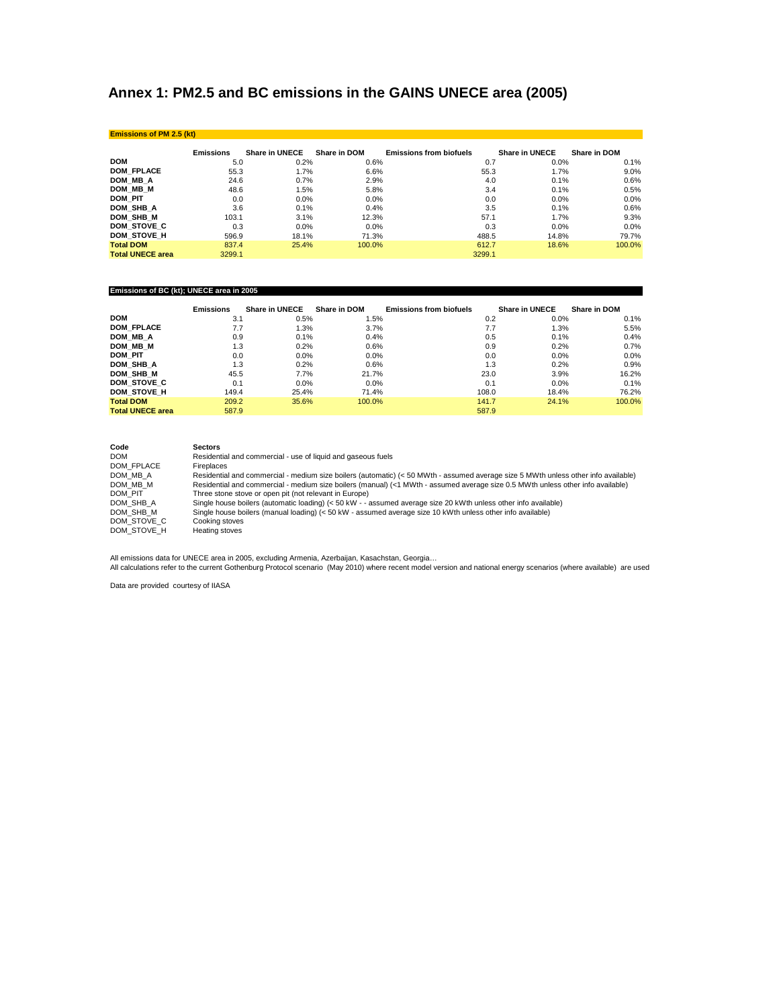# **Annex 1: PM2.5 and BC emissions in the GAINS UNECE area (2005)**

| <b>Emissions of PM 2.5 (kt)</b> |                  |                |              |                                |                |              |
|---------------------------------|------------------|----------------|--------------|--------------------------------|----------------|--------------|
|                                 | <b>Emissions</b> | Share in UNECE | Share in DOM | <b>Emissions from biofuels</b> | Share in UNECE | Share in DOM |
| <b>DOM</b>                      | 5.0              | 0.2%           | 0.6%         | 0.7                            | 0.0%           | 0.1%         |
| <b>DOM FPLACE</b>               | 55.3             | 1.7%           | 6.6%         | 55.3                           | 1.7%           | 9.0%         |
| DOM MB A                        | 24.6             | 0.7%           | 2.9%         | 4.0                            | 0.1%           | 0.6%         |
| DOM MB M                        | 48.6             | 1.5%           | 5.8%         | 3.4                            | 0.1%           | 0.5%         |
| <b>DOM PIT</b>                  | 0.0              | 0.0%           | 0.0%         | 0.0                            | 0.0%           | 0.0%         |
| DOM SHB A                       | 3.6              | 0.1%           | 0.4%         | 3.5                            | 0.1%           | 0.6%         |
| DOM SHB M                       | 103.1            | 3.1%           | 12.3%        | 57.1                           | 1.7%           | 9.3%         |
| DOM STOVE C                     | 0.3              | 0.0%           | 0.0%         | 0.3                            | 0.0%           | $0.0\%$      |
| DOM STOVE H                     | 596.9            | 18.1%          | 71.3%        | 488.5                          | 14.8%          | 79.7%        |
| <b>Total DOM</b>                | 837.4            | 25.4%          | 100.0%       | 612.7                          | 18.6%          | 100.0%       |
| <b>Total UNECE area</b>         | 3299.1           |                |              | 3299.1                         |                |              |

#### **Emissions of BC (kt); UNECE area in 2005**

|                         | <b>Emissions</b> | <b>Share in UNECE</b> | Share in DOM | <b>Emissions from biofuels</b> | <b>Share in UNECE</b> | Share in DOM |
|-------------------------|------------------|-----------------------|--------------|--------------------------------|-----------------------|--------------|
| <b>DOM</b>              | 3.1              | 0.5%                  | 1.5%         | 0.2                            | 0.0%                  | $0.1\%$      |
| <b>DOM FPLACE</b>       | 7.7              | 1.3%                  | 3.7%         | 7.7                            | 1.3%                  | 5.5%         |
| DOM MB A                | 0.9              | 0.1%                  | 0.4%         | 0.5                            | 0.1%                  | 0.4%         |
| DOM MB M                | 1.3              | 0.2%                  | 0.6%         | 0.9                            | 0.2%                  | 0.7%         |
| <b>DOM PIT</b>          | 0.0              | 0.0%                  | 0.0%         | 0.0                            | 0.0%                  | 0.0%         |
| DOM SHB A               | 1.3              | 0.2%                  | 0.6%         | 1.3                            | 0.2%                  | 0.9%         |
| DOM SHB M               | 45.5             | 7.7%                  | 21.7%        | 23.0                           | 3.9%                  | 16.2%        |
| DOM STOVE C             | 0.1              | 0.0%                  | 0.0%         | 0.1                            | 0.0%                  | 0.1%         |
| DOM STOVE H             | 149.4            | 25.4%                 | 71.4%        | 108.0                          | 18.4%                 | 76.2%        |
| <b>Total DOM</b>        | 209.2            | 35.6%                 | 100.0%       | 141.7                          | 24.1%                 | 100.0%       |
| <b>Total UNECE area</b> | 587.9            |                       |              | 587.9                          |                       |              |

| Code        | <b>Sectors</b>                                                                                                                     |
|-------------|------------------------------------------------------------------------------------------------------------------------------------|
| <b>DOM</b>  | Residential and commercial - use of liquid and gaseous fuels                                                                       |
| DOM FPLACE  | Fireplaces                                                                                                                         |
| DOM MB A    | Residential and commercial - medium size boilers (automatic) (< 50 MWth - assumed average size 5 MWth unless other info available) |
| DOM MB M    | Residential and commercial - medium size boilers (manual) (<1 MWth - assumed average size 0.5 MWth unless other info available)    |
| DOM PIT     | Three stone stove or open pit (not relevant in Europe)                                                                             |
| DOM SHB A   | Single house boilers (automatic loading) (< 50 kW - - assumed average size 20 kWth unless other info available)                    |
| DOM SHB M   | Single house boilers (manual loading) (< 50 kW - assumed average size 10 kWth unless other info available)                         |
| DOM STOVE C | Cooking stoves                                                                                                                     |
| DOM STOVE H | Heating stoves                                                                                                                     |

All emissions data for UNECE area in 2005, excluding Armenia, Azerbaijan, Kasachstan, Georgia…<br>All calculations refer to the current Gothenburg Protocol scenario (May 2010) where recent model version and national energy s

Data are provided courtesy of IIASA